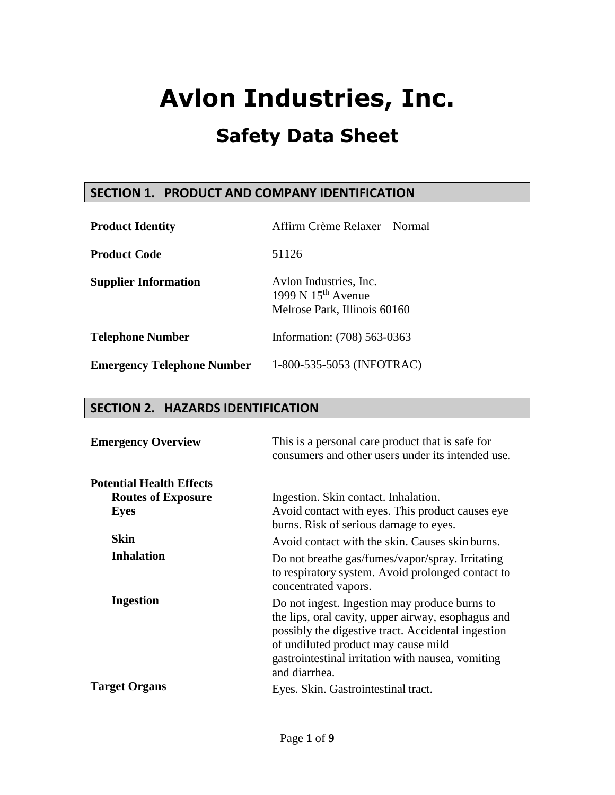# **SECTION 1. PRODUCT AND COMPANY IDENTIFICATION**

| <b>Product Identity</b>           | Affirm Crème Relaxer – Normal                                                  |  |  |
|-----------------------------------|--------------------------------------------------------------------------------|--|--|
| <b>Product Code</b>               | 51126                                                                          |  |  |
| <b>Supplier Information</b>       | Avlon Industries, Inc.<br>1999 N $15th$ Avenue<br>Melrose Park, Illinois 60160 |  |  |
| <b>Telephone Number</b>           | Information: (708) 563-0363                                                    |  |  |
| <b>Emergency Telephone Number</b> | 1-800-535-5053 (INFOTRAC)                                                      |  |  |

### **SECTION 2. HAZARDS IDENTIFICATION**

| <b>Emergency Overview</b>       | This is a personal care product that is safe for<br>consumers and other users under its intended use.                                                                                                                                                                  |
|---------------------------------|------------------------------------------------------------------------------------------------------------------------------------------------------------------------------------------------------------------------------------------------------------------------|
| <b>Potential Health Effects</b> |                                                                                                                                                                                                                                                                        |
| <b>Routes of Exposure</b>       | Ingestion. Skin contact. Inhalation.                                                                                                                                                                                                                                   |
| Eyes                            | Avoid contact with eyes. This product causes eye<br>burns. Risk of serious damage to eyes.                                                                                                                                                                             |
| <b>Skin</b>                     | Avoid contact with the skin. Causes skin burns.                                                                                                                                                                                                                        |
| <b>Inhalation</b>               | Do not breathe gas/fumes/vapor/spray. Irritating<br>to respiratory system. Avoid prolonged contact to<br>concentrated vapors.                                                                                                                                          |
| <b>Ingestion</b>                | Do not ingest. Ingestion may produce burns to<br>the lips, oral cavity, upper airway, esophagus and<br>possibly the digestive tract. Accidental ingestion<br>of undiluted product may cause mild<br>gastrointestinal irritation with nausea, vomiting<br>and diarrhea. |
| <b>Target Organs</b>            | Eyes. Skin. Gastrointestinal tract.                                                                                                                                                                                                                                    |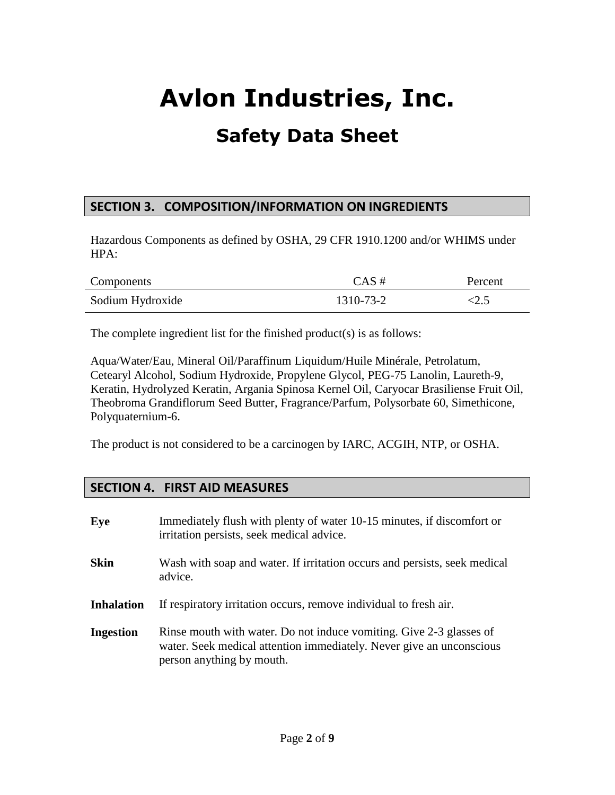## **SECTION 3. COMPOSITION/INFORMATION ON INGREDIENTS**

Hazardous Components as defined by OSHA, 29 CFR 1910.1200 and/or WHIMS under HPA:

| Components       | $CAS \#$  | Percent |
|------------------|-----------|---------|
| Sodium Hydroxide | 1310-73-2 | ے ویک   |

The complete ingredient list for the finished product(s) is as follows:

Aqua/Water/Eau, Mineral Oil/Paraffinum Liquidum/Huile Minérale, Petrolatum, Cetearyl Alcohol, Sodium Hydroxide, Propylene Glycol, PEG-75 Lanolin, Laureth-9, Keratin, Hydrolyzed Keratin, Argania Spinosa Kernel Oil, Caryocar Brasiliense Fruit Oil, Theobroma Grandiflorum Seed Butter, Fragrance/Parfum, Polysorbate 60, Simethicone, Polyquaternium-6.

The product is not considered to be a carcinogen by IARC, ACGIH, NTP, or OSHA.

### **SECTION 4. FIRST AID MEASURES**

| Eye               | Immediately flush with plenty of water 10-15 minutes, if discomfort or<br>irritation persists, seek medical advice.                                                      |
|-------------------|--------------------------------------------------------------------------------------------------------------------------------------------------------------------------|
| <b>Skin</b>       | Wash with soap and water. If irritation occurs and persists, seek medical<br>advice.                                                                                     |
| <b>Inhalation</b> | If respiratory irritation occurs, remove individual to fresh air.                                                                                                        |
| <b>Ingestion</b>  | Rinse mouth with water. Do not induce vomiting. Give 2-3 glasses of<br>water. Seek medical attention immediately. Never give an unconscious<br>person anything by mouth. |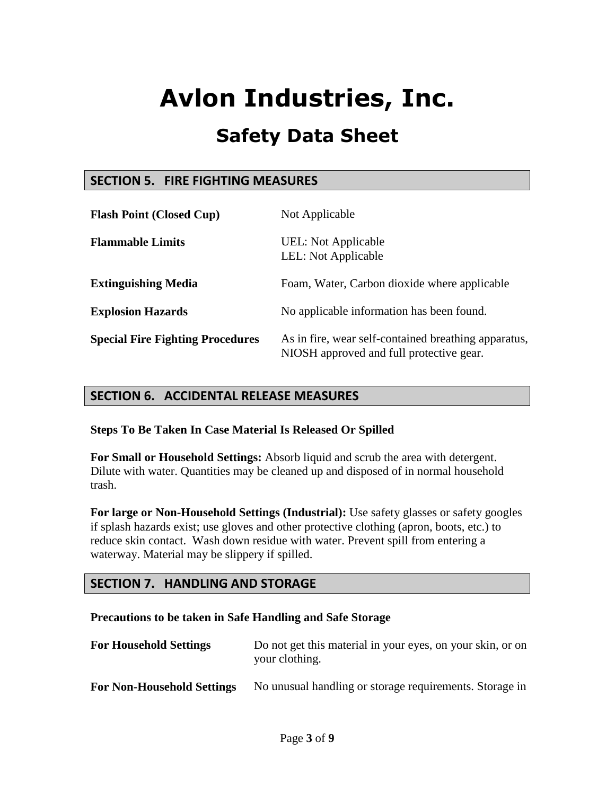# **Safety Data Sheet**

### **SECTION 5. FIRE FIGHTING MEASURES**

| <b>Flash Point (Closed Cup)</b>         | Not Applicable                                                                                   |
|-----------------------------------------|--------------------------------------------------------------------------------------------------|
| <b>Flammable Limits</b>                 | UEL: Not Applicable<br>LEL: Not Applicable                                                       |
| <b>Extinguishing Media</b>              | Foam, Water, Carbon dioxide where applicable                                                     |
| <b>Explosion Hazards</b>                | No applicable information has been found.                                                        |
| <b>Special Fire Fighting Procedures</b> | As in fire, wear self-contained breathing apparatus,<br>NIOSH approved and full protective gear. |

### **SECTION 6. ACCIDENTAL RELEASE MEASURES**

**Steps To Be Taken In Case Material Is Released Or Spilled**

**For Small or Household Settings:** Absorb liquid and scrub the area with detergent. Dilute with water. Quantities may be cleaned up and disposed of in normal household trash.

**For large or Non-Household Settings (Industrial):** Use safety glasses or safety googles if splash hazards exist; use gloves and other protective clothing (apron, boots, etc.) to reduce skin contact. Wash down residue with water. Prevent spill from entering a waterway. Material may be slippery if spilled.

## **SECTION 7. HANDLING AND STORAGE**

#### **Precautions to be taken in Safe Handling and Safe Storage**

| <b>For Household Settings</b>     | Do not get this material in your eyes, on your skin, or on<br>your clothing. |  |  |
|-----------------------------------|------------------------------------------------------------------------------|--|--|
| <b>For Non-Household Settings</b> | No unusual handling or storage requirements. Storage in                      |  |  |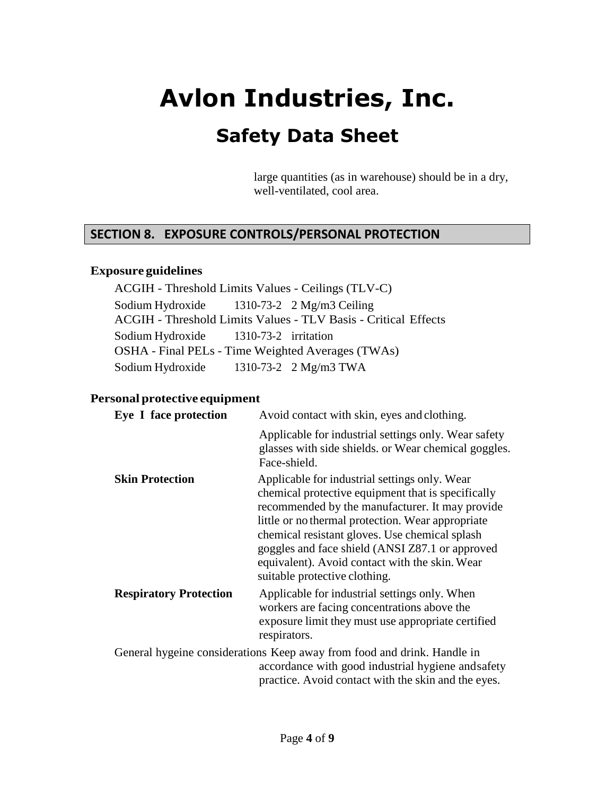# **Safety Data Sheet**

large quantities (as in warehouse) should be in a dry, well-ventilated, cool area.

### **SECTION 8. EXPOSURE CONTROLS/PERSONAL PROTECTION**

#### **Exposure guidelines**

ACGIH - Threshold Limits Values - Ceilings (TLV-C) Sodium Hydroxide 1310-73-2 2 Mg/m3 Ceiling ACGIH - Threshold Limits Values - TLV Basis - Critical Effects Sodium Hydroxide 1310-73-2 irritation OSHA - Final PELs - Time Weighted Averages (TWAs) Sodium Hydroxide 1310-73-2 2 Mg/m3 TWA

#### **Personal protective equipment**

| Eye I face protection         | Avoid contact with skin, eyes and clothing.                                                                                                                                                                                                                                                                                                                                                         |
|-------------------------------|-----------------------------------------------------------------------------------------------------------------------------------------------------------------------------------------------------------------------------------------------------------------------------------------------------------------------------------------------------------------------------------------------------|
|                               | Applicable for industrial settings only. Wear safety<br>glasses with side shields. or Wear chemical goggles.<br>Face-shield.                                                                                                                                                                                                                                                                        |
| <b>Skin Protection</b>        | Applicable for industrial settings only. Wear<br>chemical protective equipment that is specifically<br>recommended by the manufacturer. It may provide<br>little or no thermal protection. Wear appropriate<br>chemical resistant gloves. Use chemical splash<br>goggles and face shield (ANSI Z87.1 or approved<br>equivalent). Avoid contact with the skin. Wear<br>suitable protective clothing. |
| <b>Respiratory Protection</b> | Applicable for industrial settings only. When<br>workers are facing concentrations above the<br>exposure limit they must use appropriate certified<br>respirators.                                                                                                                                                                                                                                  |
|                               | General hygeine considerations Keep away from food and drink. Handle in<br>accordance with good industrial hygiene and safety<br>practice. Avoid contact with the skin and the eyes.                                                                                                                                                                                                                |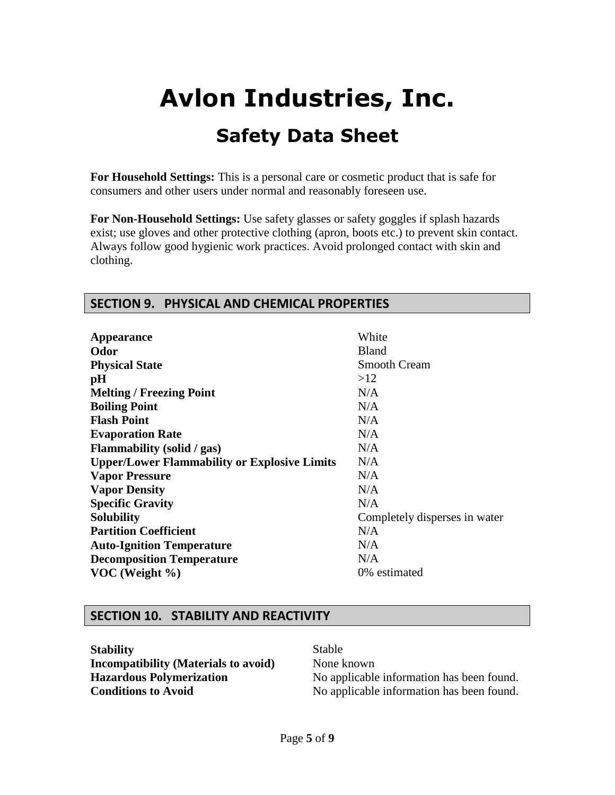**For Household Settings:** This is a personal care or cosmetic product that is safe for consumers and other users under normal and reasonably foreseen use.

**For Non-Household Settings:** Use safety glasses or safety goggles if splash hazards exist; use gloves and other protective clothing (apron, boots etc.) to prevent skin contact. Always follow good hygienic work practices. Avoid prolonged contact with skin and clothing.

### **SECTION 9. PHYSICAL AND CHEMICAL PROPERTIES**

| <b>Appearance</b>                                   | White                         |
|-----------------------------------------------------|-------------------------------|
| Odor                                                | <b>Bland</b>                  |
| <b>Physical State</b>                               | <b>Smooth Cream</b>           |
| pH                                                  | >12                           |
| <b>Melting / Freezing Point</b>                     | N/A                           |
| <b>Boiling Point</b>                                | N/A                           |
| <b>Flash Point</b>                                  | N/A                           |
| <b>Evaporation Rate</b>                             | N/A                           |
| <b>Flammability</b> (solid / gas)                   | N/A                           |
| <b>Upper/Lower Flammability or Explosive Limits</b> | N/A                           |
| <b>Vapor Pressure</b>                               | N/A                           |
| <b>Vapor Density</b>                                | N/A                           |
| <b>Specific Gravity</b>                             | N/A                           |
| <b>Solubility</b>                                   | Completely disperses in water |
| <b>Partition Coefficient</b>                        | N/A                           |
| <b>Auto-Ignition Temperature</b>                    | N/A                           |
| <b>Decomposition Temperature</b>                    | N/A                           |
| VOC (Weight $\%$ )                                  | 0% estimated                  |

#### **SECTION 10. STABILITY AND REACTIVITY**

**Stability** Stable **Incompatibility (Materials to avoid)** None known

**Hazardous Polymerization** No applicable information has been found. **Conditions to Avoid** No applicable information has been found.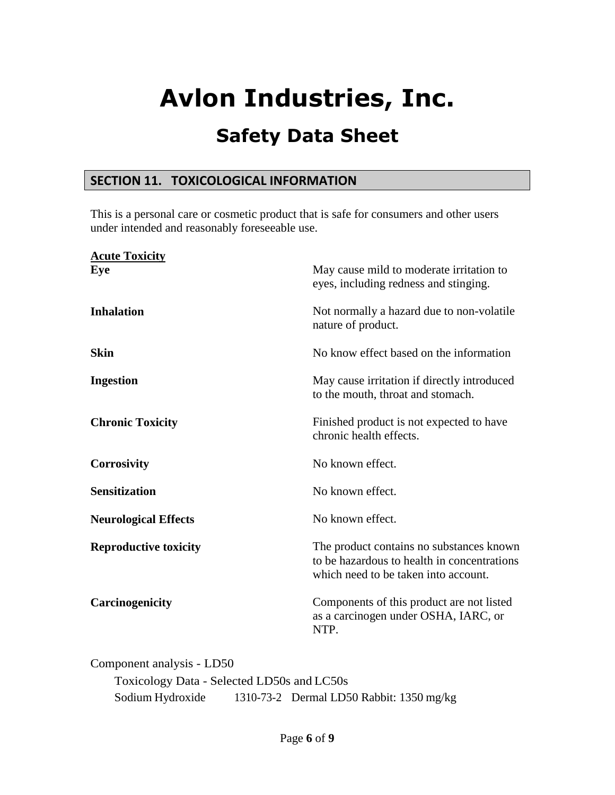# **Safety Data Sheet**

### **SECTION 11. TOXICOLOGICAL INFORMATION**

This is a personal care or cosmetic product that is safe for consumers and other users under intended and reasonably foreseeable use.

| <b>Acute Toxicity</b><br>Eve | May cause mild to moderate irritation to                                                                                        |
|------------------------------|---------------------------------------------------------------------------------------------------------------------------------|
|                              | eyes, including redness and stinging.                                                                                           |
| <b>Inhalation</b>            | Not normally a hazard due to non-volatile<br>nature of product.                                                                 |
| <b>Skin</b>                  | No know effect based on the information                                                                                         |
| <b>Ingestion</b>             | May cause irritation if directly introduced<br>to the mouth, throat and stomach.                                                |
| <b>Chronic Toxicity</b>      | Finished product is not expected to have<br>chronic health effects.                                                             |
| <b>Corrosivity</b>           | No known effect.                                                                                                                |
| <b>Sensitization</b>         | No known effect.                                                                                                                |
| <b>Neurological Effects</b>  | No known effect.                                                                                                                |
| <b>Reproductive toxicity</b> | The product contains no substances known<br>to be hazardous to health in concentrations<br>which need to be taken into account. |
| Carcinogenicity              | Components of this product are not listed<br>as a carcinogen under OSHA, IARC, or<br>NTP.                                       |
|                              |                                                                                                                                 |

Component analysis - LD50 Toxicology Data - Selected LD50s and LC50s Sodium Hydroxide 1310-73-2 Dermal LD50 Rabbit: 1350 mg/kg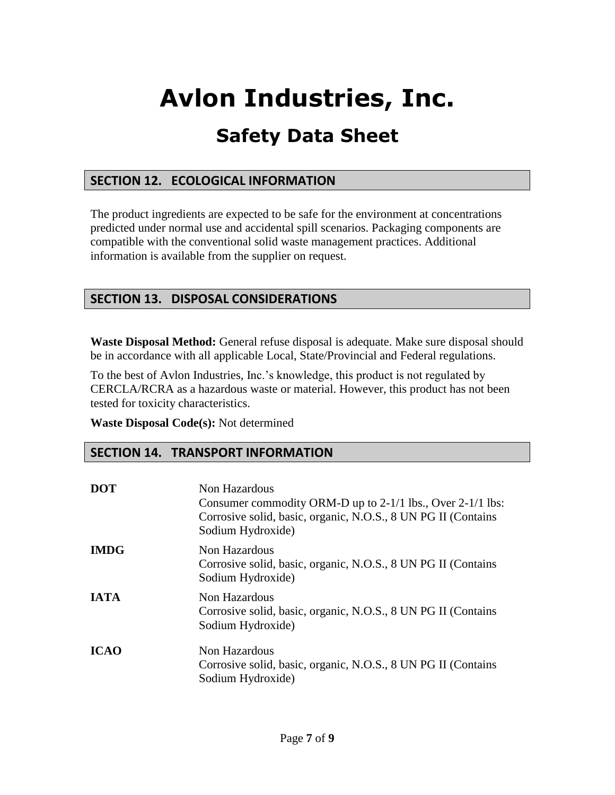# **Safety Data Sheet**

## **SECTION 12. ECOLOGICAL INFORMATION**

The product ingredients are expected to be safe for the environment at concentrations predicted under normal use and accidental spill scenarios. Packaging components are compatible with the conventional solid waste management practices. Additional information is available from the supplier on request.

## **SECTION 13. DISPOSAL CONSIDERATIONS**

**Waste Disposal Method:** General refuse disposal is adequate. Make sure disposal should be in accordance with all applicable Local, State/Provincial and Federal regulations.

To the best of Avlon Industries, Inc.'s knowledge, this product is not regulated by CERCLA/RCRA as a hazardous waste or material. However, this product has not been tested for toxicity characteristics.

**Waste Disposal Code(s):** Not determined

### **SECTION 14. TRANSPORT INFORMATION**

| <b>DOT</b>  | Non Hazardous<br>Consumer commodity ORM-D up to 2-1/1 lbs., Over 2-1/1 lbs:<br>Corrosive solid, basic, organic, N.O.S., 8 UN PG II (Contains<br>Sodium Hydroxide) |
|-------------|-------------------------------------------------------------------------------------------------------------------------------------------------------------------|
| <b>IMDG</b> | Non Hazardous<br>Corrosive solid, basic, organic, N.O.S., 8 UN PG II (Contains<br>Sodium Hydroxide)                                                               |
| <b>IATA</b> | Non Hazardous<br>Corrosive solid, basic, organic, N.O.S., 8 UN PG II (Contains<br>Sodium Hydroxide)                                                               |
| <b>ICAO</b> | Non Hazardous<br>Corrosive solid, basic, organic, N.O.S., 8 UN PG II (Contains<br>Sodium Hydroxide)                                                               |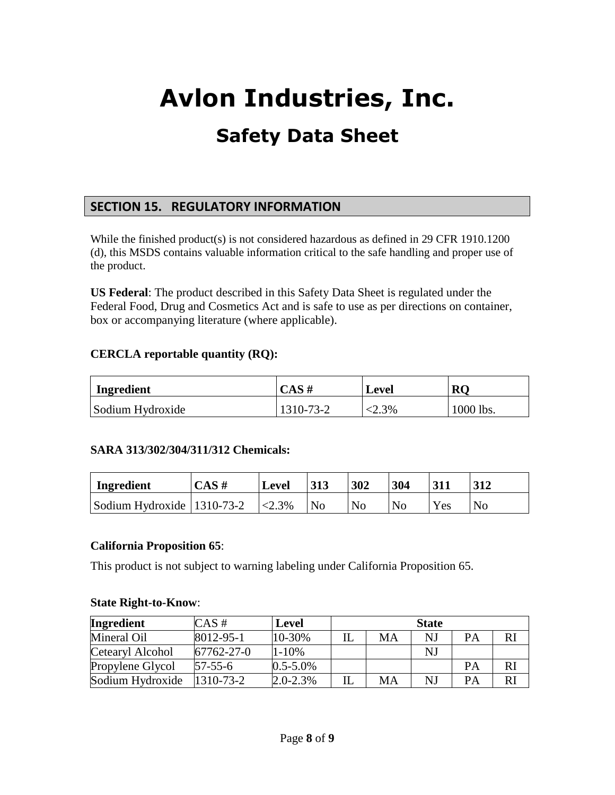# **SECTION 15. REGULATORY INFORMATION**

While the finished product(s) is not considered hazardous as defined in 29 CFR 1910.1200 (d), this MSDS contains valuable information critical to the safe handling and proper use of the product.

**US Federal**: The product described in this Safety Data Sheet is regulated under the Federal Food, Drug and Cosmetics Act and is safe to use as per directions on container, box or accompanying literature (where applicable).

#### **CERCLA reportable quantity (RQ):**

| Ingredient       | $CAS \#$  | Level   | <b>RC</b> |
|------------------|-----------|---------|-----------|
| Sodium Hydroxide | 1310-73-2 | $2.3\%$ | 1000 lbs. |

#### **SARA 313/302/304/311/312 Chemicals:**

| Ingredient                   | CAS# | <b>Level</b> |                | 302 | 304            |     |                |
|------------------------------|------|--------------|----------------|-----|----------------|-----|----------------|
| Sodium Hydroxide   1310-73-2 |      | $\leq 2.3\%$ | N <sub>0</sub> | No  | N <sub>0</sub> | Yes | N <sub>o</sub> |

#### **California Proposition 65**:

This product is not subject to warning labeling under California Proposition 65.

#### **State Right-to-Know**:

| <b>Ingredient</b> | $CAS \#$        | <b>Level</b>  | <b>State</b> |    |    |           |    |
|-------------------|-----------------|---------------|--------------|----|----|-----------|----|
| Mineral Oil       | $8012 - 95 - 1$ | $10 - 30%$    | IL           | МA | NJ | PА        |    |
| Cetearyl Alcohol  | 67762-27-0      | $1 - 10%$     |              |    | NJ |           |    |
| Propylene Glycol  | $57 - 55 - 6$   | $0.5 - 5.0\%$ |              |    |    | <b>PA</b> | RI |
| Sodium Hydroxide  | $1310 - 73 - 2$ | $2.0 - 2.3\%$ | IL           | MA | NJ | <b>PA</b> | RI |